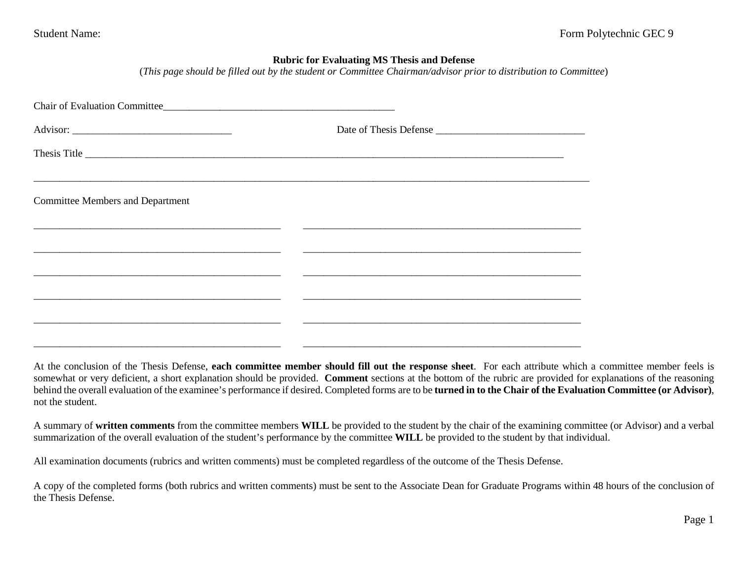## **Rubric for Evaluating MS Thesis and Defense**

(*This page should be filled out by the student or Committee Chairman/advisor prior to distribution to Committee*)

|                                                                                                                      | Thesis Title |
|----------------------------------------------------------------------------------------------------------------------|--------------|
|                                                                                                                      |              |
| <b>Committee Members and Department</b>                                                                              |              |
| <u> 1999 - Jan James James Jan James James James James James James James James James James James James James Jam</u> |              |
|                                                                                                                      |              |
|                                                                                                                      |              |
|                                                                                                                      |              |
|                                                                                                                      |              |
|                                                                                                                      |              |

\_\_\_\_\_\_\_\_\_\_\_\_\_\_\_\_\_\_\_\_\_\_\_\_\_\_\_\_\_\_\_\_\_\_\_\_\_\_\_\_\_\_\_\_\_\_\_\_ \_\_\_\_\_\_\_\_\_\_\_\_\_\_\_\_\_\_\_\_\_\_\_\_\_\_\_\_\_\_\_\_\_\_\_\_\_\_\_\_\_\_\_\_\_\_\_\_\_\_\_\_\_\_

At the conclusion of the Thesis Defense, **each committee member should fill out the response sheet**. For each attribute which a committee member feels is somewhat or very deficient, a short explanation should be provided. **Comment** sections at the bottom of the rubric are provided for explanations of the reasoning behind the overall evaluation of the examinee's performance if desired. Completed forms are to be **turned in to the Chair of the Evaluation Committee (or Advisor)**, not the student.

A summary of **written comments** from the committee members **WILL** be provided to the student by the chair of the examining committee (or Advisor) and a verbal summarization of the overall evaluation of the student's performance by the committee **WILL** be provided to the student by that individual.

All examination documents (rubrics and written comments) must be completed regardless of the outcome of the Thesis Defense.

A copy of the completed forms (both rubrics and written comments) must be sent to the Associate Dean for Graduate Programs within 48 hours of the conclusion of the Thesis Defense.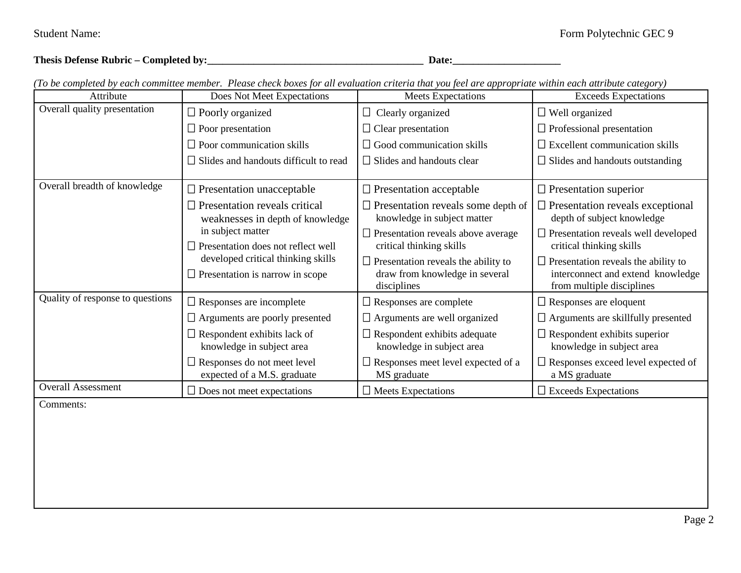|  | Thesis Defense Rubric – Completed by: | Date |  |
|--|---------------------------------------|------|--|
|--|---------------------------------------|------|--|

| Attribute                        | Does Not Meet Expectations                                                   | го де сотраста ду еаси соттите тетдет. 1 теазе спеск дожь јог ан еташиноп стнега тагуои јестате арргоргиие мини еаси антише сатезогу)<br><b>Meets Expectations</b> | <b>Exceeds Expectations</b>                                                                                  |
|----------------------------------|------------------------------------------------------------------------------|--------------------------------------------------------------------------------------------------------------------------------------------------------------------|--------------------------------------------------------------------------------------------------------------|
| Overall quality presentation     | $\Box$ Poorly organized                                                      | $\Box$ Clearly organized                                                                                                                                           | $\Box$ Well organized                                                                                        |
|                                  | $\Box$ Poor presentation                                                     | $\Box$ Clear presentation                                                                                                                                          | $\Box$ Professional presentation                                                                             |
|                                  | $\Box$ Poor communication skills                                             | $\Box$ Good communication skills                                                                                                                                   | $\Box$ Excellent communication skills                                                                        |
|                                  | $\Box$ Slides and handouts difficult to read                                 | $\Box$ Slides and handouts clear                                                                                                                                   | $\Box$ Slides and handouts outstanding                                                                       |
| Overall breadth of knowledge     | $\Box$ Presentation unacceptable                                             | $\Box$ Presentation acceptable                                                                                                                                     | $\Box$ Presentation superior                                                                                 |
|                                  | $\Box$ Presentation reveals critical<br>weaknesses in depth of knowledge     | $\Box$ Presentation reveals some depth of<br>knowledge in subject matter                                                                                           | $\Box$ Presentation reveals exceptional<br>depth of subject knowledge                                        |
|                                  | in subject matter<br>$\Box$ Presentation does not reflect well               | $\Box$ Presentation reveals above average<br>critical thinking skills                                                                                              | $\Box$ Presentation reveals well developed<br>critical thinking skills                                       |
|                                  | developed critical thinking skills<br>$\Box$ Presentation is narrow in scope | $\Box$ Presentation reveals the ability to<br>draw from knowledge in several<br>disciplines                                                                        | $\Box$ Presentation reveals the ability to<br>interconnect and extend knowledge<br>from multiple disciplines |
| Quality of response to questions | $\Box$ Responses are incomplete                                              | $\Box$ Responses are complete                                                                                                                                      | $\Box$ Responses are eloquent                                                                                |
|                                  | $\Box$ Arguments are poorly presented                                        | $\Box$ Arguments are well organized                                                                                                                                | $\Box$ Arguments are skillfully presented                                                                    |
|                                  | $\Box$ Respondent exhibits lack of<br>knowledge in subject area              | $\Box$ Respondent exhibits adequate<br>knowledge in subject area                                                                                                   | $\Box$ Respondent exhibits superior<br>knowledge in subject area                                             |
|                                  | $\Box$ Responses do not meet level<br>expected of a M.S. graduate            | $\Box$ Responses meet level expected of a<br>MS graduate                                                                                                           | $\Box$ Responses exceed level expected of<br>a MS graduate                                                   |
| <b>Overall Assessment</b>        | $\Box$ Does not meet expectations                                            | $\Box$ Meets Expectations                                                                                                                                          | $\square$ Exceeds Expectations                                                                               |
| Comments:                        |                                                                              |                                                                                                                                                                    |                                                                                                              |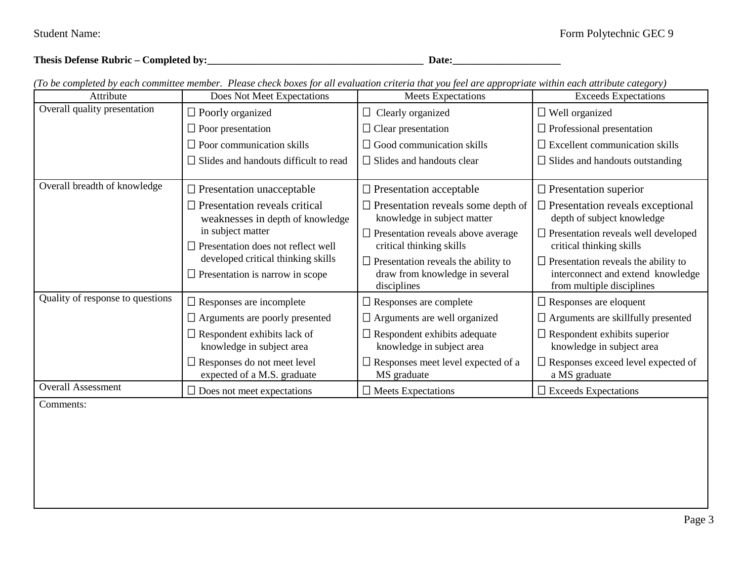| <b>Thesis Defense Rubric <math>-</math></b><br><b>Date</b><br>Completed by: |  |
|-----------------------------------------------------------------------------|--|
|-----------------------------------------------------------------------------|--|

Attribute Does Not Meet Expectations Meets Expectations Exceeds Expectations Overall quality presentation  $\Box$  Poorly organized  $\Box$  Poor presentation  $\Box$  Poor communication skills  $\square$  Slides and handouts difficult to read  $\Box$  Clearly organized  $\Box$  Clear presentation  $\Box$  Good communication skills  $\Box$  Slides and handouts clear Well organized  $\Box$  Professional presentation  $\square$  Excellent communication skills  $\Box$  Slides and handouts outstanding Overall breadth of knowledge  $\Box$  Presentation unacceptable  $\square$  Presentation reveals critical weaknesses in depth of knowledge in subject matter  $\Box$  Presentation does not reflect well developed critical thinking skills  $\Box$  Presentation is narrow in scope  $\square$  Presentation acceptable  $\square$  Presentation reveals some depth of knowledge in subject matter  $\square$  Presentation reveals above average critical thinking skills  $\square$  Presentation reveals the ability to draw from knowledge in several disciplines  $\square$  Presentation superior  $\square$  Presentation reveals exceptional depth of subject knowledge  $\square$  Presentation reveals well developed critical thinking skills  $\square$  Presentation reveals the ability to interconnect and extend knowledge from multiple disciplines Quality of response to questions  $\Box$  Responses are incomplete □ Arguments are poorly presented  $\Box$  Respondent exhibits lack of knowledge in subject area □ Responses do not meet level expected of a M.S. graduate □ Responses are complete Arguments are well organized  $\Box$  Respondent exhibits adequate knowledge in subject area  $\Box$  Responses meet level expected of a MS graduate □ Responses are eloquent  $\Box$  Arguments are skillfully presented  $\Box$  Respondent exhibits superior knowledge in subject area Responses exceed level expected of a MS graduate Overall Assessment  $\Box$  Does not meet expectations  $\Box$  Meets Expectations  $\Box$  Exceeds Expectations Comments: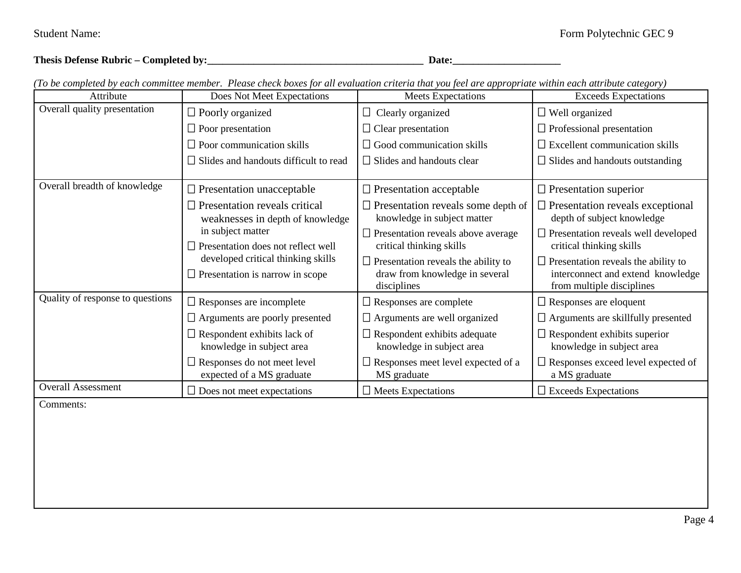| Thesis Defense Rubric – Completed by: | Date |
|---------------------------------------|------|
|                                       |      |

| Attribute                        | Does Not Meet Expectations                                                   | <b>Meets Expectations</b>                                                                   | ro oceanpicture y caen commune memoen "ricade encer ooxes jor an cranaanon criteria mar you jeer are appropriant caen announcement, y<br><b>Exceeds Expectations</b> |
|----------------------------------|------------------------------------------------------------------------------|---------------------------------------------------------------------------------------------|----------------------------------------------------------------------------------------------------------------------------------------------------------------------|
| Overall quality presentation     | $\Box$ Poorly organized                                                      | $\Box$ Clearly organized                                                                    | $\Box$ Well organized                                                                                                                                                |
|                                  | $\Box$ Poor presentation                                                     | $\Box$ Clear presentation                                                                   | $\Box$ Professional presentation                                                                                                                                     |
|                                  | $\Box$ Poor communication skills                                             | $\Box$ Good communication skills                                                            | $\Box$ Excellent communication skills                                                                                                                                |
|                                  | $\Box$ Slides and handouts difficult to read                                 | $\Box$ Slides and handouts clear                                                            | $\Box$ Slides and handouts outstanding                                                                                                                               |
| Overall breadth of knowledge     | $\Box$ Presentation unacceptable                                             | $\Box$ Presentation acceptable                                                              | $\Box$ Presentation superior                                                                                                                                         |
|                                  | $\Box$ Presentation reveals critical<br>weaknesses in depth of knowledge     | $\Box$ Presentation reveals some depth of<br>knowledge in subject matter                    | $\Box$ Presentation reveals exceptional<br>depth of subject knowledge                                                                                                |
|                                  | in subject matter<br>Presentation does not reflect well                      | $\Box$ Presentation reveals above average<br>critical thinking skills                       | $\Box$ Presentation reveals well developed<br>critical thinking skills                                                                                               |
|                                  | developed critical thinking skills<br>$\Box$ Presentation is narrow in scope | $\Box$ Presentation reveals the ability to<br>draw from knowledge in several<br>disciplines | $\Box$ Presentation reveals the ability to<br>interconnect and extend knowledge<br>from multiple disciplines                                                         |
| Quality of response to questions | $\Box$ Responses are incomplete                                              | $\Box$ Responses are complete                                                               | $\Box$ Responses are eloquent                                                                                                                                        |
|                                  | $\Box$ Arguments are poorly presented                                        | $\Box$ Arguments are well organized                                                         | $\Box$ Arguments are skillfully presented                                                                                                                            |
|                                  | $\Box$ Respondent exhibits lack of<br>knowledge in subject area              | $\Box$ Respondent exhibits adequate<br>knowledge in subject area                            | $\Box$ Respondent exhibits superior<br>knowledge in subject area                                                                                                     |
|                                  | $\Box$ Responses do not meet level<br>expected of a MS graduate              | $\Box$ Responses meet level expected of a<br>MS graduate                                    | $\Box$ Responses exceed level expected of<br>a MS graduate                                                                                                           |
| <b>Overall Assessment</b>        | $\Box$ Does not meet expectations                                            | $\Box$ Meets Expectations                                                                   | $\Box$ Exceeds Expectations                                                                                                                                          |
| Comments:                        |                                                                              |                                                                                             |                                                                                                                                                                      |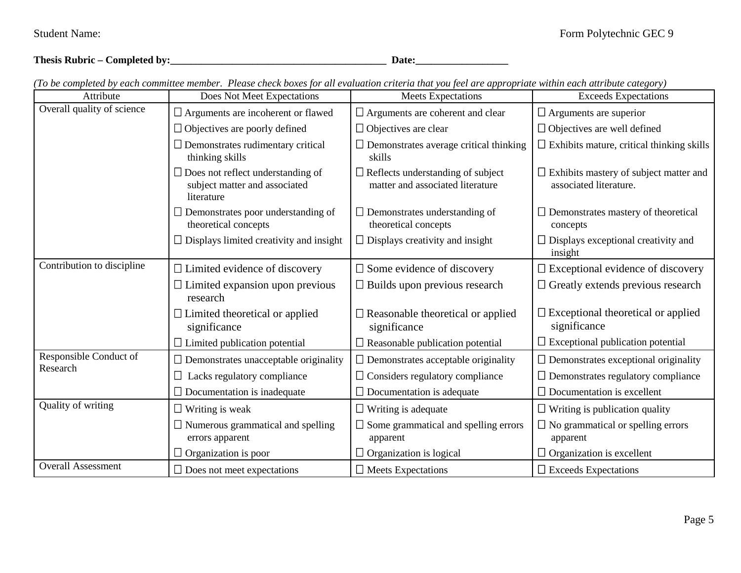**Thesis Rubric – Completed by:\_\_\_\_\_\_\_\_\_\_\_\_\_\_\_\_\_\_\_\_\_\_\_\_\_\_\_\_\_\_\_\_\_\_\_\_\_\_\_\_\_\_ Date:\_\_\_\_\_\_\_\_\_\_\_\_\_\_\_\_\_\_**

| Attribute                  | Does Not Meet Expectations                                                              | ro oceanipierea o jedich communee memoen "ricule encer oolles jor un crumumon criterium you ject ure upproprium cultural cultural cultural<br><b>Meets Expectations</b> | <b>Exceeds Expectations</b>                                             |
|----------------------------|-----------------------------------------------------------------------------------------|-------------------------------------------------------------------------------------------------------------------------------------------------------------------------|-------------------------------------------------------------------------|
| Overall quality of science | $\Box$ Arguments are incoherent or flawed                                               | $\Box$ Arguments are coherent and clear                                                                                                                                 | $\Box$ Arguments are superior                                           |
|                            | $\Box$ Objectives are poorly defined                                                    | $\Box$ Objectives are clear                                                                                                                                             | $\Box$ Objectives are well defined                                      |
|                            | Demonstrates rudimentary critical<br>thinking skills                                    | $\Box$ Demonstrates average critical thinking<br>skills                                                                                                                 | $\Box$ Exhibits mature, critical thinking skills                        |
|                            | $\Box$ Does not reflect understanding of<br>subject matter and associated<br>literature | $\Box$ Reflects understanding of subject<br>matter and associated literature                                                                                            | $\Box$ Exhibits mastery of subject matter and<br>associated literature. |
|                            | $\Box$ Demonstrates poor understanding of<br>theoretical concepts                       | $\Box$ Demonstrates understanding of<br>theoretical concepts                                                                                                            | $\Box$ Demonstrates mastery of theoretical<br>concepts                  |
|                            | $\Box$ Displays limited creativity and insight                                          | $\Box$ Displays creativity and insight                                                                                                                                  | $\Box$ Displays exceptional creativity and<br>insight                   |
| Contribution to discipline | $\Box$ Limited evidence of discovery                                                    | $\square$ Some evidence of discovery                                                                                                                                    | $\square$ Exceptional evidence of discovery                             |
|                            | $\Box$ Limited expansion upon previous<br>research                                      | $\Box$ Builds upon previous research                                                                                                                                    | $\Box$ Greatly extends previous research                                |
|                            | $\Box$ Limited theoretical or applied<br>significance                                   | $\Box$ Reasonable theoretical or applied<br>significance                                                                                                                | $\square$ Exceptional theoretical or applied<br>significance            |
|                            | $\Box$ Limited publication potential                                                    | $\Box$ Reasonable publication potential                                                                                                                                 | $\Box$ Exceptional publication potential                                |
| Responsible Conduct of     | $\Box$ Demonstrates unacceptable originality                                            | $\Box$ Demonstrates acceptable originality                                                                                                                              | $\Box$ Demonstrates exceptional originality                             |
| Research                   | $\Box$ Lacks regulatory compliance                                                      | $\Box$ Considers regulatory compliance                                                                                                                                  | $\Box$ Demonstrates regulatory compliance                               |
|                            | $\Box$ Documentation is inadequate                                                      | $\Box$ Documentation is adequate                                                                                                                                        | $\Box$ Documentation is excellent                                       |
| Quality of writing         | $\Box$ Writing is weak                                                                  | $\Box$ Writing is adequate                                                                                                                                              | $\Box$ Writing is publication quality                                   |
|                            | Numerous grammatical and spelling                                                       | $\Box$ Some grammatical and spelling errors                                                                                                                             | $\Box$ No grammatical or spelling errors                                |
|                            | errors apparent                                                                         | apparent                                                                                                                                                                | apparent                                                                |
|                            | $\Box$ Organization is poor                                                             | $\Box$ Organization is logical                                                                                                                                          | $\Box$ Organization is excellent                                        |
| <b>Overall Assessment</b>  | $\Box$ Does not meet expectations                                                       | $\Box$ Meets Expectations                                                                                                                                               | $\Box$ Exceeds Expectations                                             |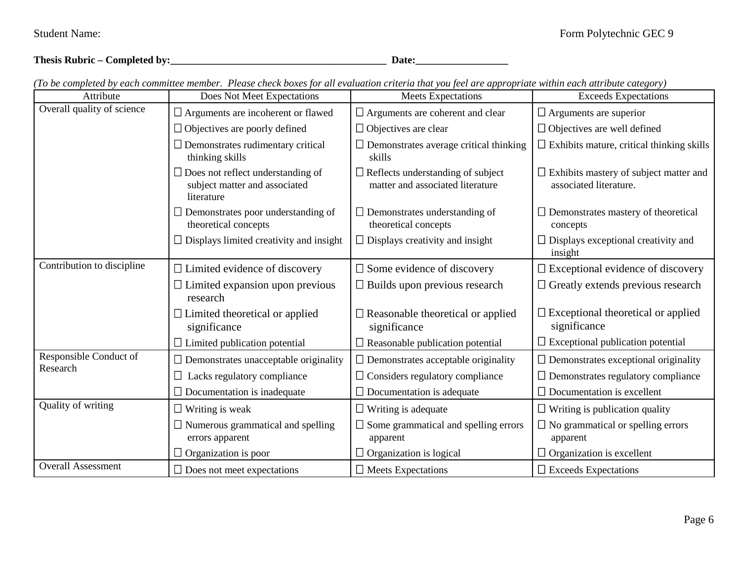**Thesis Rubric – Completed by:\_\_\_\_\_\_\_\_\_\_\_\_\_\_\_\_\_\_\_\_\_\_\_\_\_\_\_\_\_\_\_\_\_\_\_\_\_\_\_\_\_\_ Date:\_\_\_\_\_\_\_\_\_\_\_\_\_\_\_\_\_\_**

| Attribute                  | Does Not Meet Expectations                                                              | ro oceanipierea o jeunele communel memoer. I rease enceu oostes for an eramanon erueria mar jou ject anc appropriam minimite cancel<br><b>Meets Expectations</b> | <b>Exceeds Expectations</b>                                             |
|----------------------------|-----------------------------------------------------------------------------------------|------------------------------------------------------------------------------------------------------------------------------------------------------------------|-------------------------------------------------------------------------|
| Overall quality of science | $\Box$ Arguments are incoherent or flawed                                               | $\Box$ Arguments are coherent and clear                                                                                                                          | $\Box$ Arguments are superior                                           |
|                            | $\Box$ Objectives are poorly defined                                                    | $\Box$ Objectives are clear                                                                                                                                      | $\Box$ Objectives are well defined                                      |
|                            | $\Box$ Demonstrates rudimentary critical<br>thinking skills                             | $\Box$ Demonstrates average critical thinking<br>skills                                                                                                          | $\Box$ Exhibits mature, critical thinking skills                        |
|                            | $\Box$ Does not reflect understanding of<br>subject matter and associated<br>literature | $\Box$ Reflects understanding of subject<br>matter and associated literature                                                                                     | $\Box$ Exhibits mastery of subject matter and<br>associated literature. |
|                            | $\Box$ Demonstrates poor understanding of<br>theoretical concepts                       | $\Box$ Demonstrates understanding of<br>theoretical concepts                                                                                                     | $\Box$ Demonstrates mastery of theoretical<br>concepts                  |
|                            | $\Box$ Displays limited creativity and insight                                          | $\Box$ Displays creativity and insight                                                                                                                           | $\Box$ Displays exceptional creativity and<br>insight                   |
| Contribution to discipline | $\Box$ Limited evidence of discovery                                                    | $\square$ Some evidence of discovery                                                                                                                             | $\square$ Exceptional evidence of discovery                             |
|                            | $\Box$ Limited expansion upon previous<br>research                                      | $\Box$ Builds upon previous research                                                                                                                             | $\Box$ Greatly extends previous research                                |
|                            | $\Box$ Limited theoretical or applied<br>significance                                   | $\Box$ Reasonable theoretical or applied<br>significance                                                                                                         | $\square$ Exceptional theoretical or applied<br>significance            |
|                            | $\Box$ Limited publication potential                                                    | $\Box$ Reasonable publication potential                                                                                                                          | $\Box$ Exceptional publication potential                                |
| Responsible Conduct of     | $\Box$ Demonstrates unacceptable originality                                            | $\Box$ Demonstrates acceptable originality                                                                                                                       | $\Box$ Demonstrates exceptional originality                             |
| Research                   | $\Box$ Lacks regulatory compliance                                                      | $\Box$ Considers regulatory compliance                                                                                                                           | $\Box$ Demonstrates regulatory compliance                               |
|                            | $\Box$ Documentation is inadequate                                                      | $\Box$ Documentation is adequate                                                                                                                                 | $\Box$ Documentation is excellent                                       |
| Quality of writing         | $\Box$ Writing is weak                                                                  | $\Box$ Writing is adequate                                                                                                                                       | $\Box$ Writing is publication quality                                   |
|                            | $\Box$ Numerous grammatical and spelling<br>errors apparent                             | $\Box$ Some grammatical and spelling errors<br>apparent                                                                                                          | $\Box$ No grammatical or spelling errors<br>apparent                    |
|                            | $\Box$ Organization is poor                                                             | $\Box$ Organization is logical                                                                                                                                   | $\Box$ Organization is excellent                                        |
| <b>Overall Assessment</b>  | $\Box$ Does not meet expectations                                                       | $\Box$ Meets Expectations                                                                                                                                        | $\Box$ Exceeds Expectations                                             |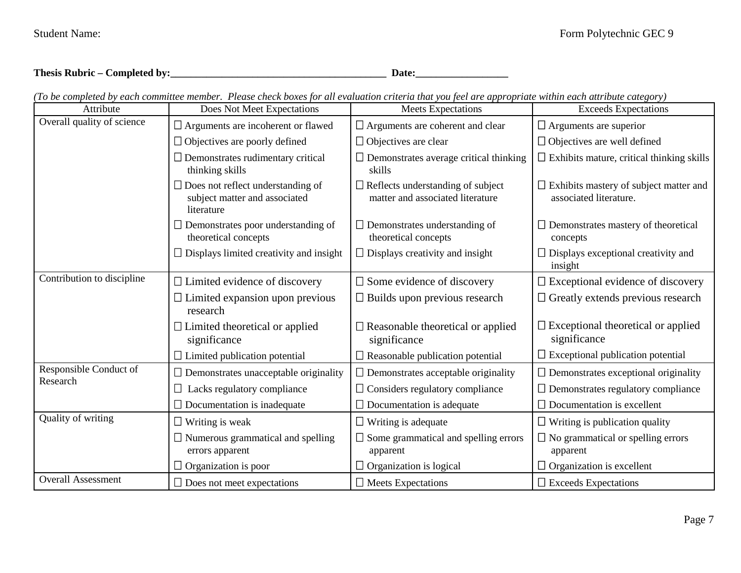| Thesis Rubric – Completed by: | Date |
|-------------------------------|------|
|                               |      |

| (To be completed by each committee member. Please check boxes for all evaluation criteria that you feel are appropriate within each attribute category) |  |
|---------------------------------------------------------------------------------------------------------------------------------------------------------|--|
|---------------------------------------------------------------------------------------------------------------------------------------------------------|--|

| Attribute                          | Does Not Meet Expectations                                                              | <b>Meets Expectations</b>                                                    | <b>Exceeds Expectations</b>                                             |
|------------------------------------|-----------------------------------------------------------------------------------------|------------------------------------------------------------------------------|-------------------------------------------------------------------------|
| Overall quality of science         | $\Box$ Arguments are incoherent or flawed                                               | $\Box$ Arguments are coherent and clear                                      | $\Box$ Arguments are superior                                           |
|                                    | $\Box$ Objectives are poorly defined                                                    | $\Box$ Objectives are clear                                                  | $\Box$ Objectives are well defined                                      |
|                                    | $\Box$ Demonstrates rudimentary critical<br>thinking skills                             | $\Box$ Demonstrates average critical thinking<br>skills                      | $\Box$ Exhibits mature, critical thinking skills                        |
|                                    | $\Box$ Does not reflect understanding of<br>subject matter and associated<br>literature | $\Box$ Reflects understanding of subject<br>matter and associated literature | $\Box$ Exhibits mastery of subject matter and<br>associated literature. |
|                                    | $\Box$ Demonstrates poor understanding of<br>theoretical concepts                       | $\Box$ Demonstrates understanding of<br>theoretical concepts                 | $\Box$ Demonstrates mastery of theoretical<br>concepts                  |
|                                    | $\Box$ Displays limited creativity and insight                                          | $\Box$ Displays creativity and insight                                       | $\Box$ Displays exceptional creativity and<br>insight                   |
| Contribution to discipline         | $\Box$ Limited evidence of discovery                                                    | $\square$ Some evidence of discovery                                         | $\square$ Exceptional evidence of discovery                             |
|                                    | $\Box$ Limited expansion upon previous<br>research                                      | $\Box$ Builds upon previous research                                         | $\Box$ Greatly extends previous research                                |
|                                    | $\Box$ Limited theoretical or applied<br>significance                                   | $\Box$ Reasonable theoretical or applied<br>significance                     | $\square$ Exceptional theoretical or applied<br>significance            |
|                                    | $\Box$ Limited publication potential                                                    | $\Box$ Reasonable publication potential                                      | $\Box$ Exceptional publication potential                                |
| Responsible Conduct of<br>Research | $\Box$ Demonstrates unacceptable originality                                            | $\Box$ Demonstrates acceptable originality                                   | $\Box$ Demonstrates exceptional originality                             |
|                                    | $\Box$ Lacks regulatory compliance                                                      | $\Box$ Considers regulatory compliance                                       | $\Box$ Demonstrates regulatory compliance                               |
|                                    | $\Box$ Documentation is inadequate                                                      | $\Box$ Documentation is adequate                                             | $\Box$ Documentation is excellent                                       |
| Quality of writing                 | $\Box$ Writing is weak                                                                  | $\Box$ Writing is adequate                                                   | $\Box$ Writing is publication quality                                   |
|                                    | $\Box$ Numerous grammatical and spelling<br>errors apparent                             | $\Box$ Some grammatical and spelling errors<br>apparent                      | $\Box$ No grammatical or spelling errors<br>apparent                    |
|                                    | $\Box$ Organization is poor                                                             | $\Box$ Organization is logical                                               | $\Box$ Organization is excellent                                        |
| <b>Overall Assessment</b>          | $\Box$ Does not meet expectations                                                       | $\Box$ Meets Expectations                                                    | $\Box$ Exceeds Expectations                                             |